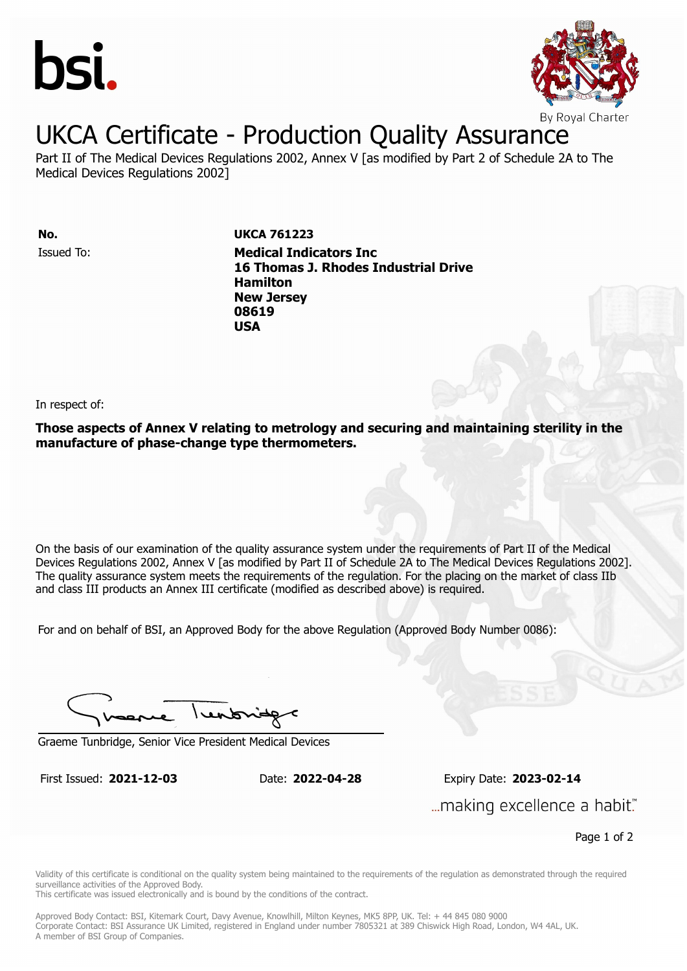



#### UKCA Certificate - Production Quality Assurance

Part II of The Medical Devices Regulations 2002, Annex V [as modified by Part 2 of Schedule 2A to The Medical Devices Regulations 2002]

Issued To: **Medical Indicators Inc No. UKCA 761223**

**16 Thomas J. Rhodes Industrial Drive Hamilton** Issued To: **Medical Indicators Inc New Jersey 16 Thomas J. Rhodes Industrial Drive 08619 Hamilton New Jersey 08619 USA**

In respect of:

**Those aspects of Annex V relating to metrology and securing and maintaining sterility in the manufacture of phase-change type thermometers.**

On the basis of our examination of the quality assurance system under the requirements of Part II of the Medical Devices Regulations 2002, Annex V [as modified by Part II of Schedule 2A to The Medical Devices Regulations 2002]. The quality assurance system meets the requirements of the regulation. For the placing on the market of class IIb and class III products an Annex III certificate (modified as described above) is required.

For and on behalf of BSI, an Approved Body for the above Regulation (Approved Body Number 0086):

I rendonid

Graeme Tunbridge, Senior Vice President Medical Devices

First Issued: **2021-12-03** Date: **2022-04-28** Expiry Date: **2023-02-14** First Issued: **2021-12-03** Date: **2022-04-28** Expiry Date: **2023-02-14** "...making excellence a habit.

Page 1 of 2

Validity of this certificate is conditional on the quality system being maintained to the requirements of the regulation as demonstrated through the required surveillance activities of the Approved Body.

This certificate was issued electronically and is bound by the conditions of the contract.

Approved Body Contact: BSI, Kitemark Court, Davy Avenue, Knowlhill, Milton Keynes, MK5 8PP, UK. Tel: + 44 845 080 9000 Corporate Contact: BSI Assurance UK Limited, registered in England under number 7805321 at 389 Chiswick High Road, London, W4 4AL, UK. A member of BSI Group of Companies.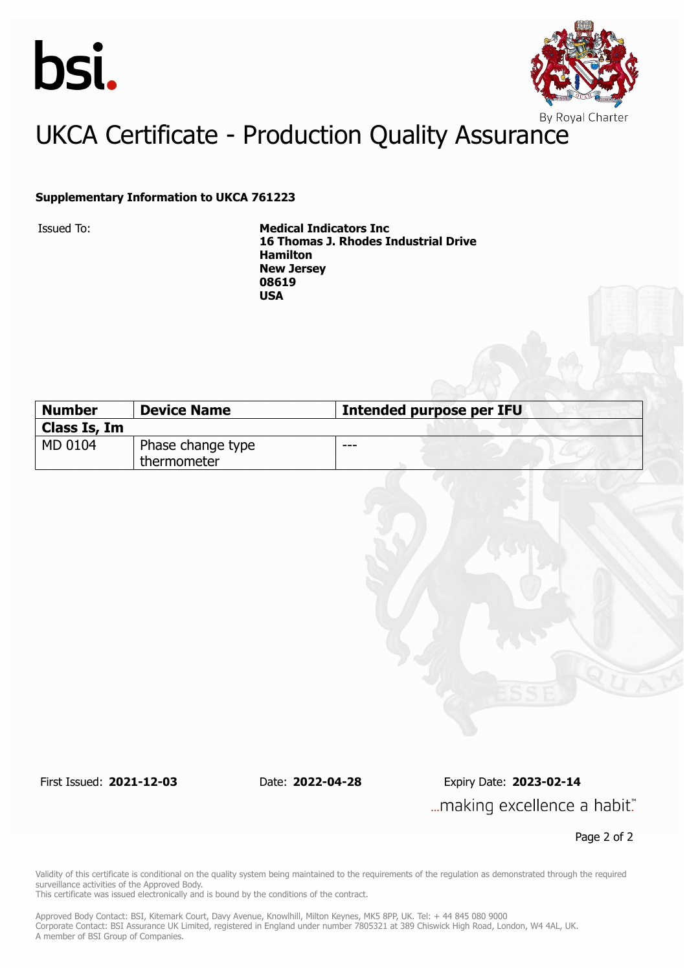



## UKCA Certificate - Production Quality Assurance

#### **Supplementary Information to UKCA 761223**

Issued To: **Medical Indicators Inc 16 Thomas J. Rhodes Industrial Drive Hamilton New Jersey 08619 USA**

| <b>Number</b> | <b>Device Name</b> | Intended purpose per IFU |  |
|---------------|--------------------|--------------------------|--|
| Class Is, Im  |                    |                          |  |
| MD 0104       | Phase change type  | ---                      |  |
|               | thermometer        |                          |  |

First Issued: **2021-12-03** Date: **2022-04-28** Expiry Date: **2023-02-14** ... making excellence a habit."

Page 2 of 2

Validity of this certificate is conditional on the quality system being maintained to the requirements of the regulation as demonstrated through the required surveillance activities of the Approved Body.

This certificate was issued electronically and is bound by the conditions of the contract.

Approved Body Contact: BSI, Kitemark Court, Davy Avenue, Knowlhill, Milton Keynes, MK5 8PP, UK. Tel: + 44 845 080 9000 Corporate Contact: BSI Assurance UK Limited, registered in England under number 7805321 at 389 Chiswick High Road, London, W4 4AL, UK. A member of BSI Group of Companies.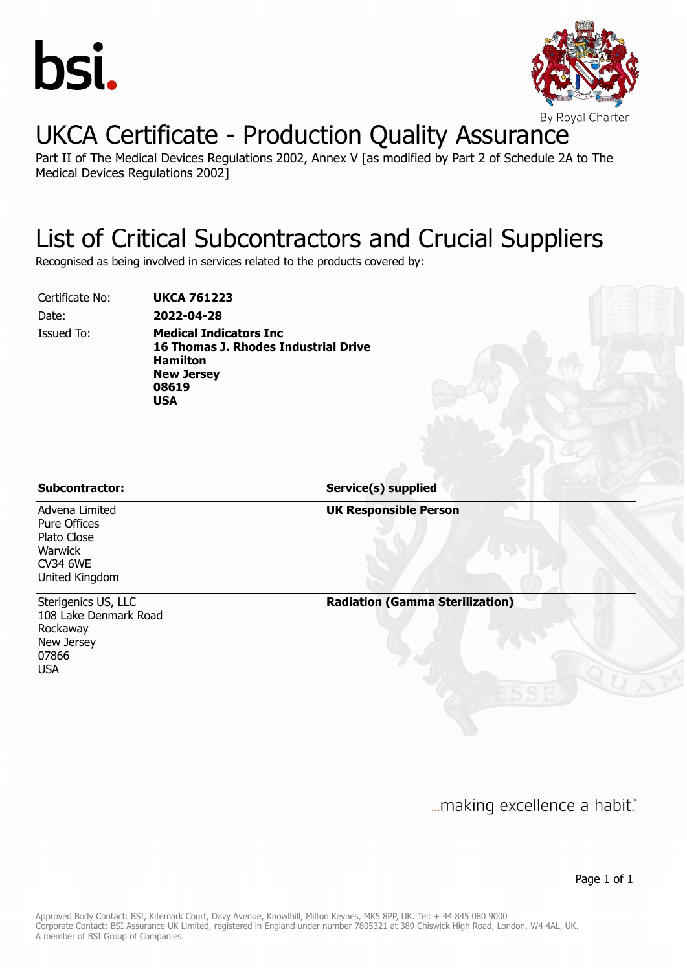



### UKCA Certificate - Production Quality Assurance

Part II of The Medical Devices Regulations 2002, Annex V [as modified by Part 2 of Schedule 2A to The Medical Devices Regulations 2002]

#### List of Critical Subcontractors and Crucial Suppliers

Recognised as being involved in services related to the products covered by:

Certificate No: **UKCA 761223**

Date: **2022-04-28**

Issued To: **Medical Indicators Inc 16 Thomas J. Rhodes Industrial Drive Hamilton New Jersey 08619 USA**

**Subcontractor: Service(s) supplied**

**UK Responsible Person**

Advena Limited Pure Offices Plato Close Warwick CV34 6WE United Kingdom

Sterigenics US, LLC 108 Lake Denmark Road Rockaway New Jersey 07866 USA

**Radiation (Gamma Sterilization)**

... making excellence a habit."

Page 1 of 1